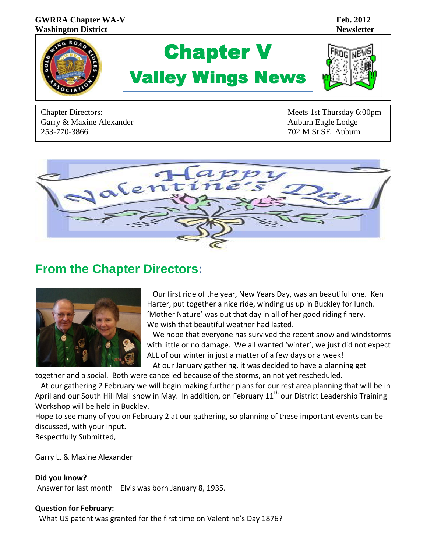#### **GWRRA Chapter WA-V Feb.** 2012 **Washington District Newsletter**



# Chapter V Valley Wings News



Garry & Maxine Alexander Auburn Eagle Lodge Auburn Eagle Lodge 253-770-3866 702 M St SE Auburn

Chapter Directors: Meets 1st Thursday 6:00pm



# **From the Chapter Directors:**



 Our first ride of the year, New Years Day, was an beautiful one. Ken Harter, put together a nice ride, winding us up in Buckley for lunch. 'Mother Nature' was out that day in all of her good riding finery. We wish that beautiful weather had lasted.

 We hope that everyone has survived the recent snow and windstorms with little or no damage. We all wanted 'winter', we just did not expect ALL of our winter in just a matter of a few days or a week!

At our January gathering, it was decided to have a planning get

together and a social. Both were cancelled because of the storms, an not yet rescheduled. At our gathering 2 February we will begin making further plans for our rest area planning that will be in

April and our South Hill Mall show in May. In addition, on February 11<sup>th</sup> our District Leadership Training Workshop will be held in Buckley.

Hope to see many of you on February 2 at our gathering, so planning of these important events can be discussed, with your input.

Respectfully Submitted,

Garry L. & Maxine Alexander

**Did you know?** Answer for last month Elvis was born January 8, 1935.

#### **Question for February:**

What US patent was granted for the first time on Valentine's Day 1876?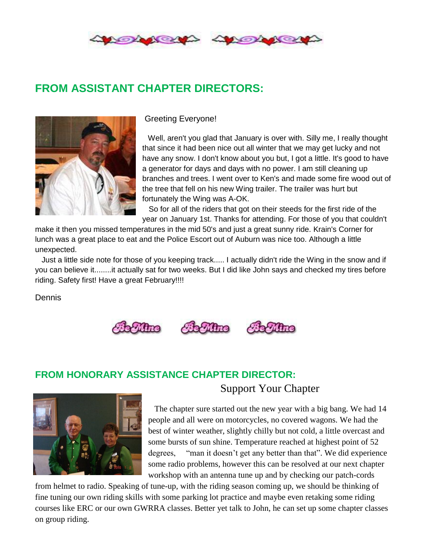

# **FROM ASSISTANT CHAPTER DIRECTORS:**



Greeting Everyone!

 Well, aren't you glad that January is over with. Silly me, I really thought that since it had been nice out all winter that we may get lucky and not have any snow. I don't know about you but, I got a little. It's good to have a generator for days and days with no power. I am still cleaning up branches and trees. I went over to Ken's and made some fire wood out of the tree that fell on his new Wing trailer. The trailer was hurt but fortunately the Wing was A-OK.

 So for all of the riders that got on their steeds for the first ride of the year on January 1st. Thanks for attending. For those of you that couldn't

make it then you missed temperatures in the mid 50's and just a great sunny ride. Krain's Corner for lunch was a great place to eat and the Police Escort out of Auburn was nice too. Although a little unexpected.

 Just a little side note for those of you keeping track..... I actually didn't ride the Wing in the snow and if you can believe it........it actually sat for two weeks. But I did like John says and checked my tires before riding. Safety first! Have a great February!!!!

Dennis





#### **FROM HONORARY ASSISTANCE CHAPTER DIRECTOR:**



 The chapter sure started out the new year with a big bang. We had 14 people and all were on motorcycles, no covered wagons. We had the best of winter weather, slightly chilly but not cold, a little overcast and some bursts of sun shine. Temperature reached at highest point of 52 degrees, "man it doesn't get any better than that". We did experience some radio problems, however this can be resolved at our next chapter workshop with an antenna tune up and by checking our patch-cords

Support Your Chapter

from helmet to radio. Speaking of tune-up, with the riding season coming up, we should be thinking of fine tuning our own riding skills with some parking lot practice and maybe even retaking some riding courses like ERC or our own GWRRA classes. Better yet talk to John, he can set up some chapter classes on group riding.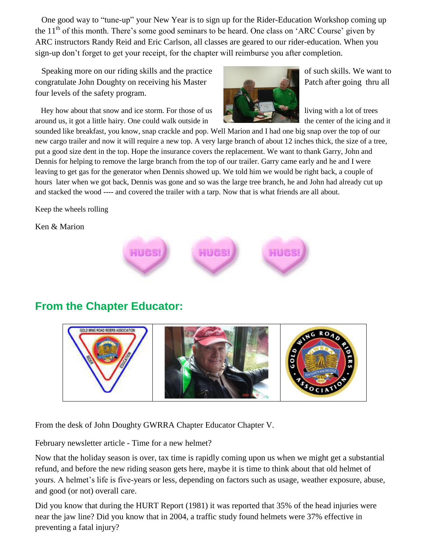One good way to "tune-up" your New Year is to sign up for the Rider-Education Workshop coming up the  $11<sup>th</sup>$  of this month. There's some good seminars to be heard. One class on 'ARC Course' given by ARC instructors Randy Reid and Eric Carlson, all classes are geared to our rider-education. When you sign-up don't forget to get your receipt, for the chapter will reimburse you after completion.

Speaking more on our riding skills and the practice of such skills. We want to congratulate John Doughty on receiving his Master Patch after going thru all four levels of the safety program.

Hey how about that snow and ice storm. For those of us living with a lot of trees around us, it got a little hairy. One could walk outside in



sounded like breakfast, you know, snap crackle and pop. Well Marion and I had one big snap over the top of our new cargo trailer and now it will require a new top. A very large branch of about 12 inches thick, the size of a tree, put a good size dent in the top. Hope the insurance covers the replacement. We want to thank Garry, John and Dennis for helping to remove the large branch from the top of our trailer. Garry came early and he and I were leaving to get gas for the generator when Dennis showed up. We told him we would be right back, a couple of hours later when we got back, Dennis was gone and so was the large tree branch, he and John had already cut up and stacked the wood ---- and covered the trailer with a tarp. Now that is what friends are all about.

Keep the wheels rolling

Ken & Marion



# **From the Chapter Educator:**



From the desk of John Doughty GWRRA Chapter Educator Chapter V.

February newsletter article - Time for a new helmet?

Now that the holiday season is over, tax time is rapidly coming upon us when we might get a substantial refund, and before the new riding season gets here, maybe it is time to think about that old helmet of yours. A helmet's life is five-years or less, depending on factors such as usage, weather exposure, abuse, and good (or not) overall care.

Did you know that during the HURT Report (1981) it was reported that 35% of the head injuries were near the jaw line? Did you know that in 2004, a traffic study found helmets were 37% effective in preventing a fatal injury?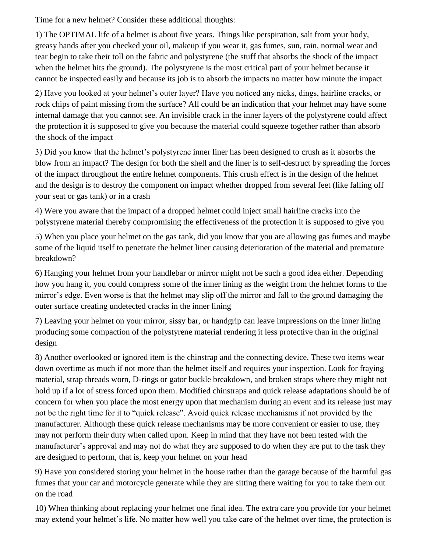Time for a new helmet? Consider these additional thoughts:

1) The OPTIMAL life of a helmet is about five years. Things like perspiration, salt from your body, greasy hands after you checked your oil, makeup if you wear it, gas fumes, sun, rain, normal wear and tear begin to take their toll on the fabric and polystyrene (the stuff that absorbs the shock of the impact when the helmet hits the ground). The polystyrene is the most critical part of your helmet because it cannot be inspected easily and because its job is to absorb the impacts no matter how minute the impact

2) Have you looked at your helmet's outer layer? Have you noticed any nicks, dings, hairline cracks, or rock chips of paint missing from the surface? All could be an indication that your helmet may have some internal damage that you cannot see. An invisible crack in the inner layers of the polystyrene could affect the protection it is supposed to give you because the material could squeeze together rather than absorb the shock of the impact

3) Did you know that the helmet's polystyrene inner liner has been designed to crush as it absorbs the blow from an impact? The design for both the shell and the liner is to self-destruct by spreading the forces of the impact throughout the entire helmet components. This crush effect is in the design of the helmet and the design is to destroy the component on impact whether dropped from several feet (like falling off your seat or gas tank) or in a crash

4) Were you aware that the impact of a dropped helmet could inject small hairline cracks into the polystyrene material thereby compromising the effectiveness of the protection it is supposed to give you

5) When you place your helmet on the gas tank, did you know that you are allowing gas fumes and maybe some of the liquid itself to penetrate the helmet liner causing deterioration of the material and premature breakdown?

6) Hanging your helmet from your handlebar or mirror might not be such a good idea either. Depending how you hang it, you could compress some of the inner lining as the weight from the helmet forms to the mirror's edge. Even worse is that the helmet may slip off the mirror and fall to the ground damaging the outer surface creating undetected cracks in the inner lining

7) Leaving your helmet on your mirror, sissy bar, or handgrip can leave impressions on the inner lining producing some compaction of the polystyrene material rendering it less protective than in the original design

8) Another overlooked or ignored item is the chinstrap and the connecting device. These two items wear down overtime as much if not more than the helmet itself and requires your inspection. Look for fraying material, strap threads worn, D-rings or gator buckle breakdown, and broken straps where they might not hold up if a lot of stress forced upon them. Modified chinstraps and quick release adaptations should be of concern for when you place the most energy upon that mechanism during an event and its release just may not be the right time for it to "quick release". Avoid quick release mechanisms if not provided by the manufacturer. Although these quick release mechanisms may be more convenient or easier to use, they may not perform their duty when called upon. Keep in mind that they have not been tested with the manufacturer's approval and may not do what they are supposed to do when they are put to the task they are designed to perform, that is, keep your helmet on your head

9) Have you considered storing your helmet in the house rather than the garage because of the harmful gas fumes that your car and motorcycle generate while they are sitting there waiting for you to take them out on the road

10) When thinking about replacing your helmet one final idea. The extra care you provide for your helmet may extend your helmet's life. No matter how well you take care of the helmet over time, the protection is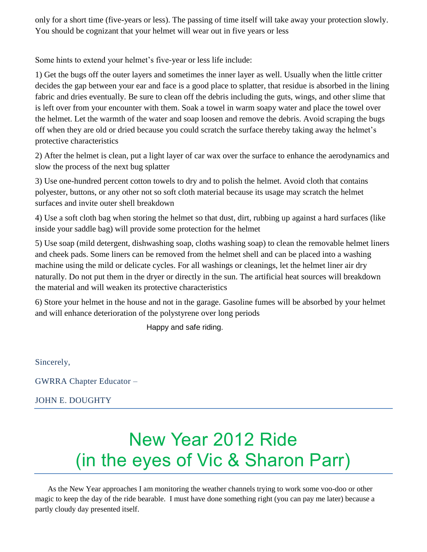only for a short time (five-years or less). The passing of time itself will take away your protection slowly. You should be cognizant that your helmet will wear out in five years or less

Some hints to extend your helmet's five-year or less life include:

1) Get the bugs off the outer layers and sometimes the inner layer as well. Usually when the little critter decides the gap between your ear and face is a good place to splatter, that residue is absorbed in the lining fabric and dries eventually. Be sure to clean off the debris including the guts, wings, and other slime that is left over from your encounter with them. Soak a towel in warm soapy water and place the towel over the helmet. Let the warmth of the water and soap loosen and remove the debris. Avoid scraping the bugs off when they are old or dried because you could scratch the surface thereby taking away the helmet's protective characteristics

2) After the helmet is clean, put a light layer of car wax over the surface to enhance the aerodynamics and slow the process of the next bug splatter

3) Use one-hundred percent cotton towels to dry and to polish the helmet. Avoid cloth that contains polyester, buttons, or any other not so soft cloth material because its usage may scratch the helmet surfaces and invite outer shell breakdown

4) Use a soft cloth bag when storing the helmet so that dust, dirt, rubbing up against a hard surfaces (like inside your saddle bag) will provide some protection for the helmet

5) Use soap (mild detergent, dishwashing soap, cloths washing soap) to clean the removable helmet liners and cheek pads. Some liners can be removed from the helmet shell and can be placed into a washing machine using the mild or delicate cycles. For all washings or cleanings, let the helmet liner air dry naturally. Do not put them in the dryer or directly in the sun. The artificial heat sources will breakdown the material and will weaken its protective characteristics

6) Store your helmet in the house and not in the garage. Gasoline fumes will be absorbed by your helmet and will enhance deterioration of the polystyrene over long periods

Happy and safe riding.

Sincerely,

GWRRA Chapter Educator –

JOHN E. DOUGHTY

# New Year 2012 Ride (in the eyes of Vic & Sharon Parr)

As the New Year approaches I am monitoring the weather channels trying to work some voo-doo or other magic to keep the day of the ride bearable. I must have done something right (you can pay me later) because a partly cloudy day presented itself.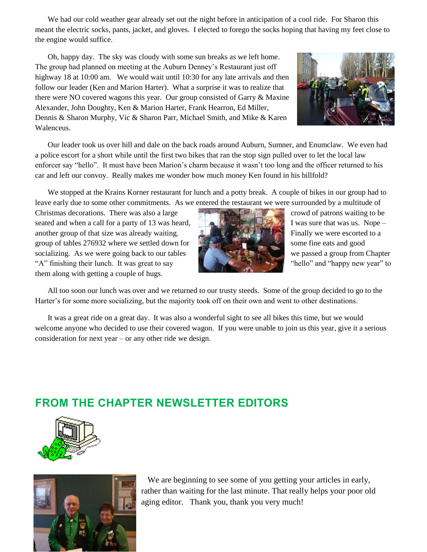We had our cold weather gear already set out the night before in anticipation of a cool ride. For Sharon this meant the electric socks, pants, jacket, and gloves. I elected to forego the socks hoping that having my feet close to the engine would suffice.

Oh, happy day. The sky was cloudy with some sun breaks as we left home. The group had planned on meeting at the Auburn Denney's Restaurant just off highway 18 at 10:00 am. We would wait until 10:30 for any late arrivals and then follow our leader (Ken and Marion Harter). What a surprise it was to realize that there were NO covered wagons this year. Our group consisted of Garry & Maxine Alexander, John Doughty, Ken & Marion Harter, Frank Hearron, Ed Miller, Dennis & Sharon Murphy, Vic & Sharon Parr, Michael Smith, and Mike & Karen Walenceus.



Our leader took us over hill and dale on the back roads around Auburn, Sumner, and Enumclaw. We even had a police escort for a short while until the first two bikes that ran the stop sign pulled over to let the local law enforcer say "hello". It must have been Marion's charm because it wasn't too long and the officer returned to his car and left our convoy. Really makes me wonder how much money Ken found in his billfold?

We stopped at the Krains Korner restaurant for lunch and a potty break. A couple of bikes in our group had to leave early due to some other commitments. As we entered the restaurant we were surrounded by a multitude of

Christmas decorations. There was also a large crowd of patrons waiting to be seated and when a call for a party of 13 was heard, I was sure that was us. Nope – another group of that size was already waiting. Finally we were escorted to a group of tables 276932 where we settled down for some fine eats and good socializing. As we were going back to our tables we passed a group from Chapter "A" finishing their lunch. It was great to say "hello" and "happy new year" to them along with getting a couple of hugs.



All too soon our lunch was over and we returned to our trusty steeds. Some of the group decided to go to the Harter's for some more socializing, but the majority took off on their own and went to other destinations.

It was a great ride on a great day. It was also a wonderful sight to see all bikes this time, but we would welcome anyone who decided to use their covered wagon. If you were unable to join us this year, give it a serious consideration for next year – or any other ride we design.

#### **FROM THE CHAPTER NEWSLETTER EDITORS**





 We are beginning to see some of you getting your articles in early, rather than waiting for the last minute. That really helps your poor old aging editor. Thank you, thank you very much!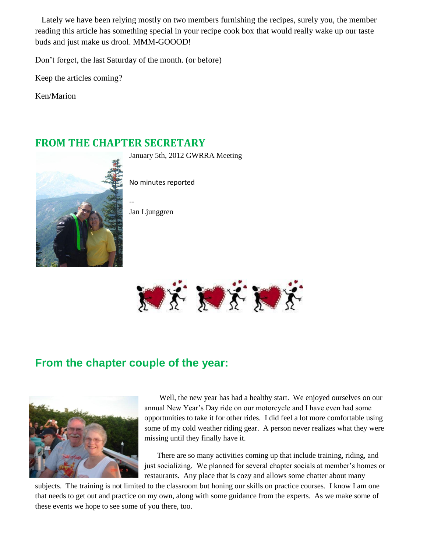Lately we have been relying mostly on two members furnishing the recipes, surely you, the member reading this article has something special in your recipe cook box that would really wake up our taste buds and just make us drool. MMM-GOOOD!

Don't forget, the last Saturday of the month. (or before)

Keep the articles coming?

Ken/Marion

#### **FROM THE CHAPTER SECRETARY**

January 5th, 2012 GWRRA Meeting



No minutes reported

Jan Ljunggren

--



# **From the chapter couple of the year:**



Well, the new year has had a healthy start. We enjoyed ourselves on our annual New Year's Day ride on our motorcycle and I have even had some opportunities to take it for other rides. I did feel a lot more comfortable using some of my cold weather riding gear. A person never realizes what they were missing until they finally have it.

There are so many activities coming up that include training, riding, and just socializing. We planned for several chapter socials at member's homes or restaurants. Any place that is cozy and allows some chatter about many

subjects. The training is not limited to the classroom but honing our skills on practice courses. I know I am one that needs to get out and practice on my own, along with some guidance from the experts. As we make some of these events we hope to see some of you there, too.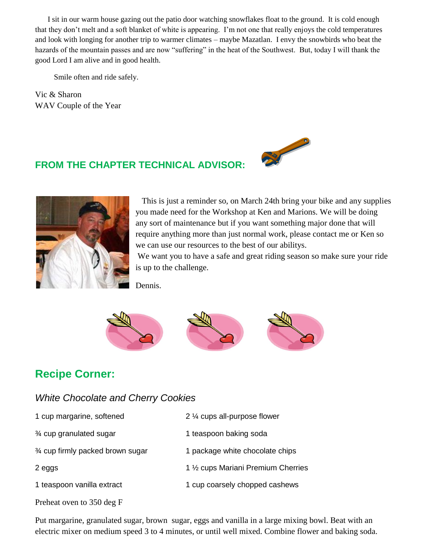I sit in our warm house gazing out the patio door watching snowflakes float to the ground. It is cold enough that they don't melt and a soft blanket of white is appearing. I'm not one that really enjoys the cold temperatures and look with longing for another trip to warmer climates – maybe Mazatlan. I envy the snowbirds who beat the hazards of the mountain passes and are now "suffering" in the heat of the Southwest. But, today I will thank the good Lord I am alive and in good health.

Smile often and ride safely.

Vic & Sharon WAV Couple of the Year

### **FROM THE CHAPTER TECHNICAL ADVISOR:**





This is just a reminder so, on March 24th bring your bike and any supplies you made need for the Workshop at Ken and Marions. We will be doing any sort of maintenance but if you want something major done that will require anything more than just normal work, please contact me or Ken so we can use our resources to the best of our abilitys.

We want you to have a safe and great riding season so make sure your ride is up to the challenge.

Dennis.



# **Recipe Corner:**

Preheat oven to 350 deg F

#### *White Chocolate and Cherry Cookies*

| 1 cup margarine, softened         | 2 1/4 cups all-purpose flower       |
|-----------------------------------|-------------------------------------|
| 3⁄4 cup granulated sugar          | 1 teaspoon baking soda              |
| 3⁄4 cup firmly packed brown sugar | 1 package white chocolate chips     |
| 2 eggs                            | 1 1/2 cups Mariani Premium Cherries |
| 1 teaspoon vanilla extract        | 1 cup coarsely chopped cashews      |
|                                   |                                     |

Put margarine, granulated sugar, brown sugar, eggs and vanilla in a large mixing bowl. Beat with an electric mixer on medium speed 3 to 4 minutes, or until well mixed. Combine flower and baking soda.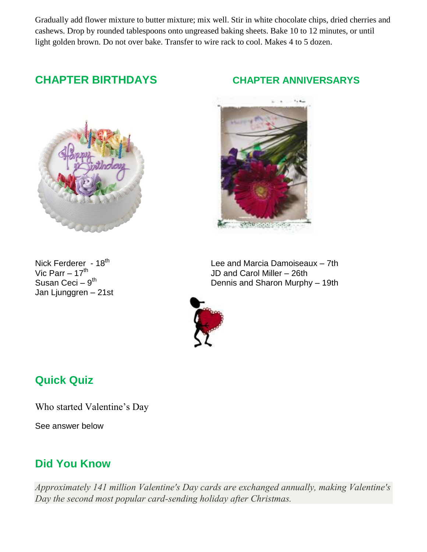Gradually add flower mixture to butter mixture; mix well. Stir in white chocolate chips, dried cherries and cashews. Drop by rounded tablespoons onto ungreased baking sheets. Bake 10 to 12 minutes, or until light golden brown. Do not over bake. Transfer to wire rack to cool. Makes 4 to 5 dozen.

# **CHAPTER BIRTHDAYS CHAPTER ANNIVERSARYS**



Susan Ceci - 9<sup>th</sup> Jan Ljunggren – 21st



Nick Ferderer - 18<sup>th</sup>  $\begin{array}{ccc} \text{Nick Ferder} & -7\text{th} \\ \text{Vic Parr} & -17\text{th} \\ \end{array}$  Lee and Marcia Damoiseaux – 7th JD and Carol Miller – 26th Dennis and Sharon Murphy – 19th



# **Quick Quiz**

Who started Valentine's Day

See answer below

#### **Did You Know**

*Approximately 141 million Valentine's Day cards are exchanged annually, making Valentine's Day the second most popular card-sending holiday after Christmas.*